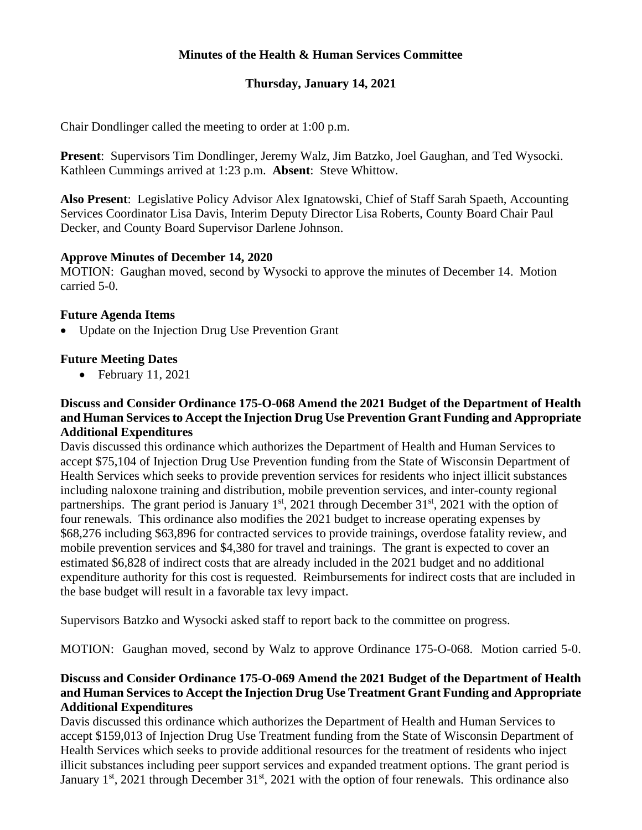# **Minutes of the Health & Human Services Committee**

# **Thursday, January 14, 2021**

Chair Dondlinger called the meeting to order at 1:00 p.m.

**Present**: Supervisors Tim Dondlinger, Jeremy Walz, Jim Batzko, Joel Gaughan, and Ted Wysocki. Kathleen Cummings arrived at 1:23 p.m. **Absent**: Steve Whittow.

**Also Present**: Legislative Policy Advisor Alex Ignatowski, Chief of Staff Sarah Spaeth, Accounting Services Coordinator Lisa Davis, Interim Deputy Director Lisa Roberts, County Board Chair Paul Decker, and County Board Supervisor Darlene Johnson.

#### **Approve Minutes of December 14, 2020**

MOTION: Gaughan moved, second by Wysocki to approve the minutes of December 14. Motion carried 5-0.

#### **Future Agenda Items**

• Update on the Injection Drug Use Prevention Grant

## **Future Meeting Dates**

• February 11, 2021

#### **Discuss and Consider Ordinance 175-O-068 Amend the 2021 Budget of the Department of Health and Human Services to Accept the Injection Drug Use Prevention Grant Funding and Appropriate Additional Expenditures**

Davis discussed this ordinance which authorizes the Department of Health and Human Services to accept \$75,104 of Injection Drug Use Prevention funding from the State of Wisconsin Department of Health Services which seeks to provide prevention services for residents who inject illicit substances including naloxone training and distribution, mobile prevention services, and inter-county regional partnerships. The grant period is January  $1<sup>st</sup>$ , 2021 through December  $31<sup>st</sup>$ , 2021 with the option of four renewals. This ordinance also modifies the 2021 budget to increase operating expenses by \$68,276 including \$63,896 for contracted services to provide trainings, overdose fatality review, and mobile prevention services and \$4,380 for travel and trainings. The grant is expected to cover an estimated \$6,828 of indirect costs that are already included in the 2021 budget and no additional expenditure authority for this cost is requested. Reimbursements for indirect costs that are included in the base budget will result in a favorable tax levy impact.

Supervisors Batzko and Wysocki asked staff to report back to the committee on progress.

MOTION: Gaughan moved, second by Walz to approve Ordinance 175-O-068. Motion carried 5-0.

## **Discuss and Consider Ordinance 175-O-069 Amend the 2021 Budget of the Department of Health and Human Services to Accept the Injection Drug Use Treatment Grant Funding and Appropriate Additional Expenditures**

Davis discussed this ordinance which authorizes the Department of Health and Human Services to accept \$159,013 of Injection Drug Use Treatment funding from the State of Wisconsin Department of Health Services which seeks to provide additional resources for the treatment of residents who inject illicit substances including peer support services and expanded treatment options. The grant period is January 1<sup>st</sup>, 2021 through December 31<sup>st</sup>, 2021 with the option of four renewals. This ordinance also